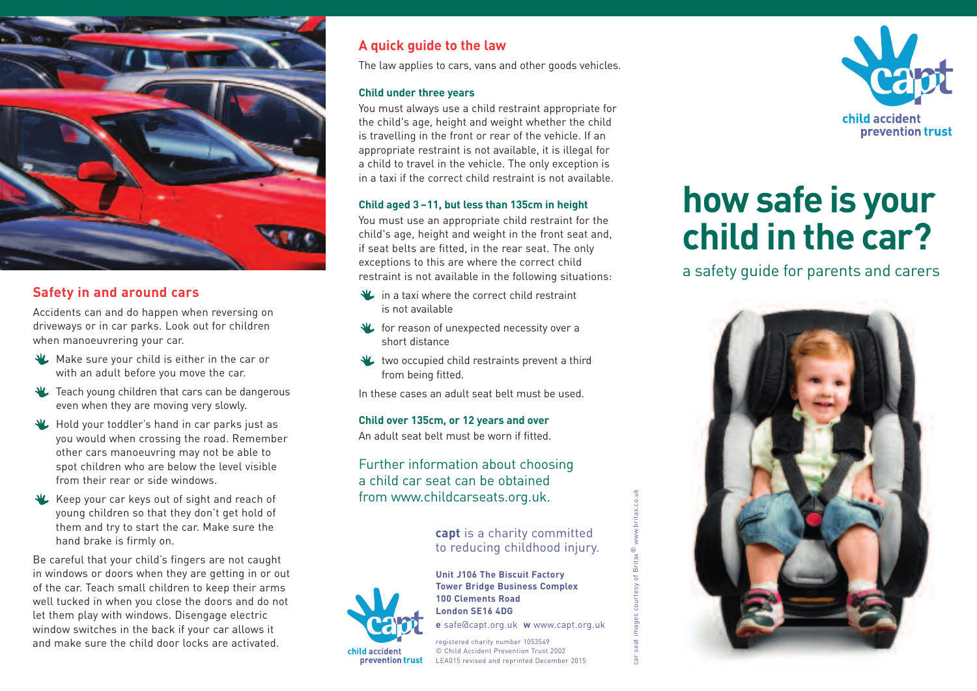

# **Safety in and around cars**

Accidents can and do happen when reversing on driveways or in car parks. Look out for children when manoeuvrering your car.

- Make sure your child is either in the car or with an adult before you move the car.
- **The Teach young children that cars can be dangerous** even when they are moving very slowly.
- Hold your toddler's hand in car parks just as you would when crossing the road. Remember other cars manoeuvring may not be able to spot children who are below the level visible from their rear or side windows.
- Keep your car keys out of sight and reach of young children so that they don't get hold of them and try to start the car. Make sure the hand brake is firmly on.

Be careful that your child's fingers are not caught in windows or doors when they are getting in or out of the car. Teach small children to keep their arms well tucked in when you close the doors and do not let them play with windows. Disengage electric window switches in the back if your car allows it and make sure the child door locks are activated.

# **A quick guide to the law**

The law applies to cars, vans and other goods vehicles.

#### **Child under three years**

You must always use a child restraint appropriate for the child's age, height and weight whether the child is travelling in the front or rear of the vehicle. If an appropriate restraint is not available, it is illegal for a child to travel in the vehicle. The only exception is in a taxi if the correct child restraint is not available.

#### **Child aged 3 –11, but less than 135cm in height**

You must use an appropriate child restraint for the child's age, height and weight in the front seat and, if seat belts are fitted, in the rear seat. The only exceptions to this are where the correct child restraint is not available in the following situations:

- **W** in a taxi where the correct child restraint is not available
- *K* for reason of unexpected necessity over a short distance
- two occupied child restraints prevent a third from being fitted.

In these cases an adult seat belt must be used.

#### **Child over 135cm, or 12 years and over**

An adult seat belt must be worn if fitted.

Further information about choosing a child car seat can be obtained from www.childcarseats.org.uk.

## **capt** is a charity committed to reducing childhood injury.



prevention trust

**Unit J106 The Biscuit Factory Tower Bridge Business Complex 100 Clements Road London SE16 4DG e** safe@capt.org.uk **w** www.capt.org.uk car seat images courtesy of Britax® www.britax.co.uk

 $\pm$ 

registered charity number 1053549 © Child Accident Prevention Trust 2002 LEA015 revised and reprinted December 2015



# **how safe is your child in the car?**

a safety guide for parents and carers